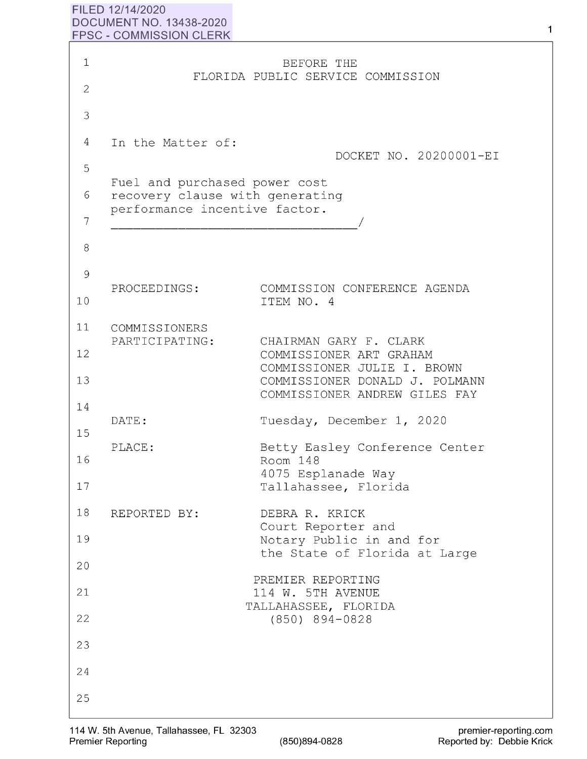## **FILED 12/14/2020 DOCUMENT NO. 13438-2020 FPSC** - **COMMISSION CLERK**

| $\mathbf 1$    |                                                                  | BEFORE THE                                                                                     |
|----------------|------------------------------------------------------------------|------------------------------------------------------------------------------------------------|
| $\overline{2}$ |                                                                  | FLORIDA PUBLIC SERVICE COMMISSION                                                              |
| 3              |                                                                  |                                                                                                |
| 4              | In the Matter of:                                                |                                                                                                |
| 5              |                                                                  | DOCKET NO. 20200001-EI                                                                         |
| 6              | Fuel and purchased power cost<br>recovery clause with generating |                                                                                                |
| 7              | performance incentive factor.                                    |                                                                                                |
| 8              |                                                                  |                                                                                                |
| 9              |                                                                  |                                                                                                |
| 10             | PROCEEDINGS:                                                     | COMMISSION CONFERENCE AGENDA<br>ITEM NO. 4                                                     |
| 11             | COMMISSIONERS<br>PARTICIPATING:                                  | CHAIRMAN GARY F. CLARK                                                                         |
| 12             |                                                                  | COMMISSIONER ART GRAHAM                                                                        |
| 13             |                                                                  | COMMISSIONER JULIE I. BROWN<br>COMMISSIONER DONALD J. POLMANN<br>COMMISSIONER ANDREW GILES FAY |
| 14<br>15       | DATE:                                                            | Tuesday, December 1, 2020                                                                      |
| 16             | PLACE:                                                           | Betty Easley Conference Center<br>Room 148                                                     |
| 17             |                                                                  | 4075 Esplanade Way<br>Tallahassee, Florida                                                     |
| 18             | REPORTED BY:                                                     | DEBRA R. KRICK                                                                                 |
| 19             |                                                                  | Court Reporter and<br>Notary Public in and for                                                 |
| 20             |                                                                  | the State of Florida at Large                                                                  |
| 21             |                                                                  | PREMIER REPORTING<br>114 W. 5TH AVENUE                                                         |
| 22             |                                                                  | TALLAHASSEE, FLORIDA<br>$(850)$ 894-0828                                                       |
| 23             |                                                                  |                                                                                                |
| 24             |                                                                  |                                                                                                |
| 25             |                                                                  |                                                                                                |

 $\mathbf{1}$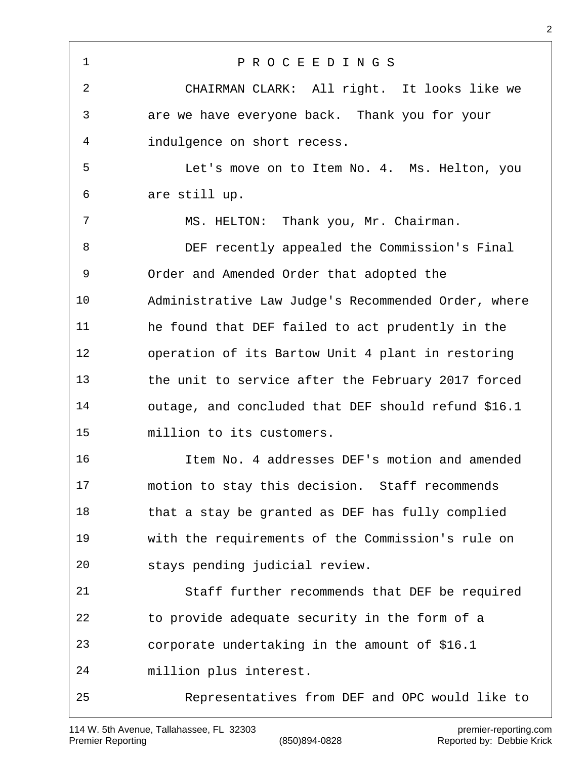P R O C E E D I N G S CHAIRMAN CLARK: All right. It looks like we are we have everyone back. Thank you for your indulgence on short recess. Let's move on to Item No. 4. Ms. Helton, you are still up. MS. HELTON: Thank you, Mr. Chairman. DEF recently appealed the Commission's Final Order and Amended Order that adopted the Administrative Law Judge's Recommended Order, where he found that DEF failed to act prudently in the operation of its Bartow Unit 4 plant in restoring the unit to service after the February 2017 forced outage, and concluded that DEF should refund \$16.1 million to its customers. Item No. 4 addresses DEF's motion and amended motion to stay this decision. Staff recommends that a stay be granted as DEF has fully complied with the requirements of the Commission's rule on stays pending judicial review. Staff further recommends that DEF be required to provide adequate security in the form of a corporate undertaking in the amount of \$16.1 million plus interest. Representatives from DEF and OPC would like to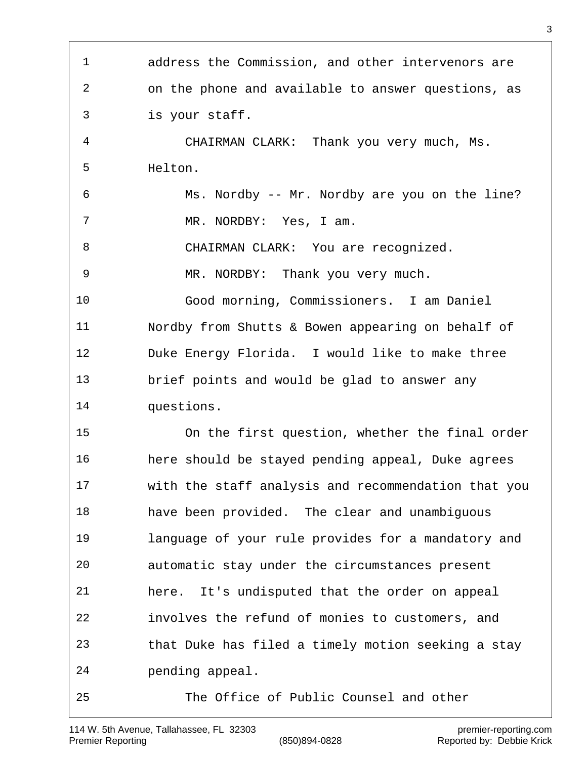address the Commission, and other intervenors are on the phone and available to answer questions, as is your staff. CHAIRMAN CLARK: Thank you very much, Ms. Helton. Ms. Nordby -- Mr. Nordby are you on the line? 7 MR. NORDBY: Yes, I am. 8 CHAIRMAN CLARK: You are recognized. MR. NORDBY: Thank you very much. Good morning, Commissioners. I am Daniel Nordby from Shutts & Bowen appearing on behalf of Duke Energy Florida. I would like to make three brief points and would be glad to answer any questions. On the first question, whether the final order here should be stayed pending appeal, Duke agrees with the staff analysis and recommendation that you have been provided. The clear and unambiguous language of your rule provides for a mandatory and automatic stay under the circumstances present here. It's undisputed that the order on appeal involves the refund of monies to customers, and that Duke has filed a timely motion seeking a stay pending appeal. The Office of Public Counsel and other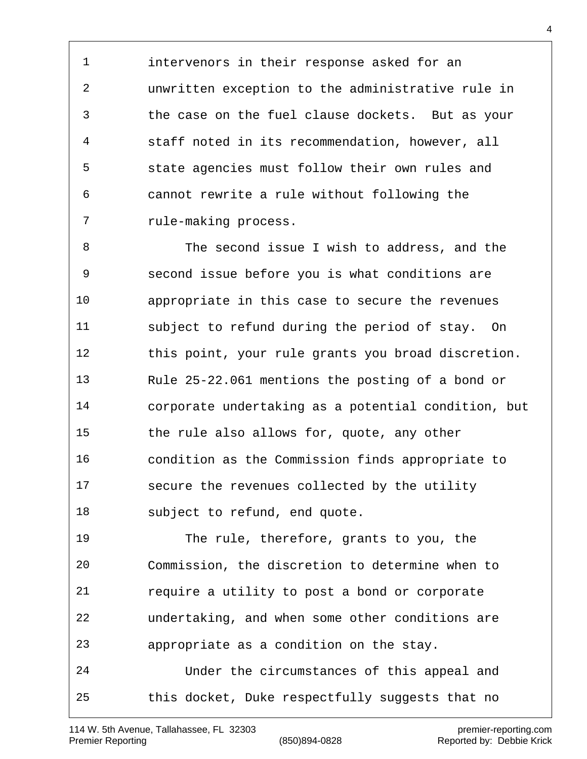intervenors in their response asked for an unwritten exception to the administrative rule in the case on the fuel clause dockets. But as your staff noted in its recommendation, however, all state agencies must follow their own rules and cannot rewrite a rule without following the rule-making process.

 The second issue I wish to address, and the second issue before you is what conditions are appropriate in this case to secure the revenues subject to refund during the period of stay. On this point, your rule grants you broad discretion. Rule 25-22.061 mentions the posting of a bond or corporate undertaking as a potential condition, but the rule also allows for, quote, any other condition as the Commission finds appropriate to secure the revenues collected by the utility subject to refund, end quote.

 The rule, therefore, grants to you, the Commission, the discretion to determine when to require a utility to post a bond or corporate undertaking, and when some other conditions are appropriate as a condition on the stay. Under the circumstances of this appeal and this docket, Duke respectfully suggests that no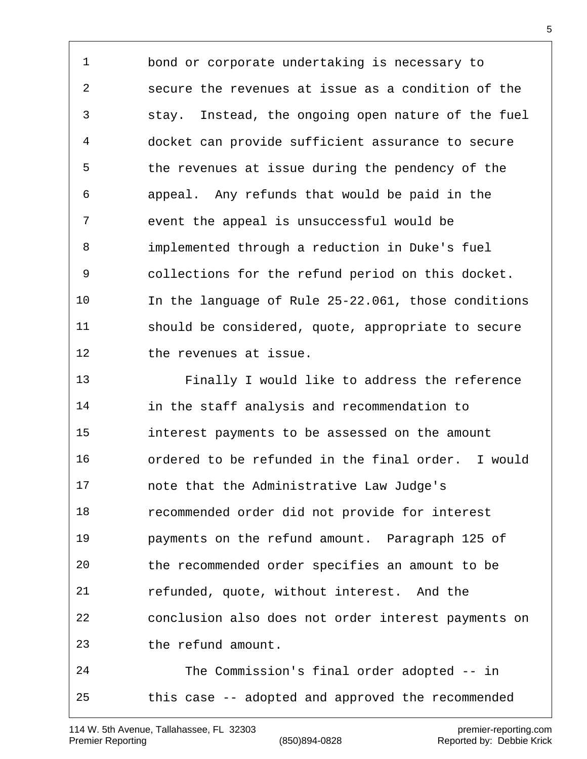bond or corporate undertaking is necessary to secure the revenues at issue as a condition of the stay. Instead, the ongoing open nature of the fuel docket can provide sufficient assurance to secure the revenues at issue during the pendency of the appeal. Any refunds that would be paid in the event the appeal is unsuccessful would be implemented through a reduction in Duke's fuel collections for the refund period on this docket. In the language of Rule 25-22.061, those conditions should be considered, quote, appropriate to secure 12 the revenues at issue.

 Finally I would like to address the reference in the staff analysis and recommendation to interest payments to be assessed on the amount ordered to be refunded in the final order. I would note that the Administrative Law Judge's recommended order did not provide for interest payments on the refund amount. Paragraph 125 of the recommended order specifies an amount to be refunded, quote, without interest. And the conclusion also does not order interest payments on the refund amount.

 The Commission's final order adopted -- in this case -- adopted and approved the recommended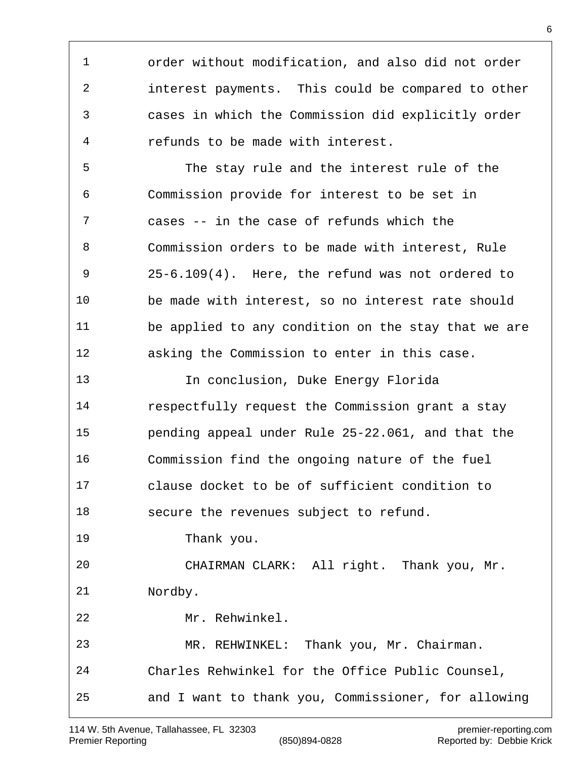order without modification, and also did not order interest payments. This could be compared to other cases in which the Commission did explicitly order refunds to be made with interest.

 The stay rule and the interest rule of the Commission provide for interest to be set in cases -- in the case of refunds which the Commission orders to be made with interest, Rule 25-6.109(4). Here, the refund was not ordered to be made with interest, so no interest rate should be applied to any condition on the stay that we are asking the Commission to enter in this case.

 In conclusion, Duke Energy Florida respectfully request the Commission grant a stay pending appeal under Rule 25-22.061, and that the Commission find the ongoing nature of the fuel clause docket to be of sufficient condition to secure the revenues subject to refund. Thank you. CHAIRMAN CLARK: All right. Thank you, Mr. Nordby. Mr. Rehwinkel. MR. REHWINKEL: Thank you, Mr. Chairman. Charles Rehwinkel for the Office Public Counsel, and I want to thank you, Commissioner, for allowing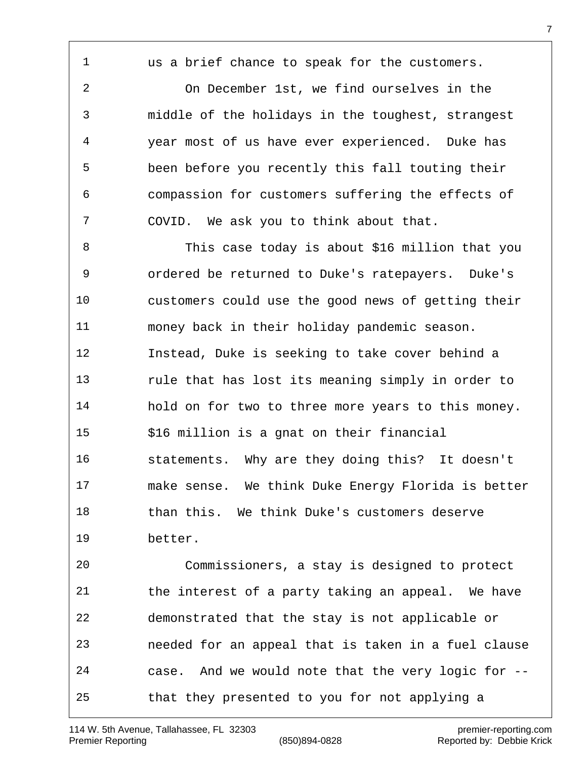the interest of a party taking an appeal. We have demonstrated that the stay is not applicable or needed for an appeal that is taken in a fuel clause case. And we would note that the very logic for -- that they presented to you for not applying a

Commissioners, a stay is designed to protect

us a brief chance to speak for the customers.

 On December 1st, we find ourselves in the middle of the holidays in the toughest, strangest year most of us have ever experienced. Duke has been before you recently this fall touting their compassion for customers suffering the effects of COVID. We ask you to think about that.

 This case today is about \$16 million that you ordered be returned to Duke's ratepayers. Duke's customers could use the good news of getting their money back in their holiday pandemic season. Instead, Duke is seeking to take cover behind a rule that has lost its meaning simply in order to hold on for two to three more years to this money. \$16 million is a gnat on their financial statements. Why are they doing this? It doesn't make sense. We think Duke Energy Florida is better than this. We think Duke's customers deserve better.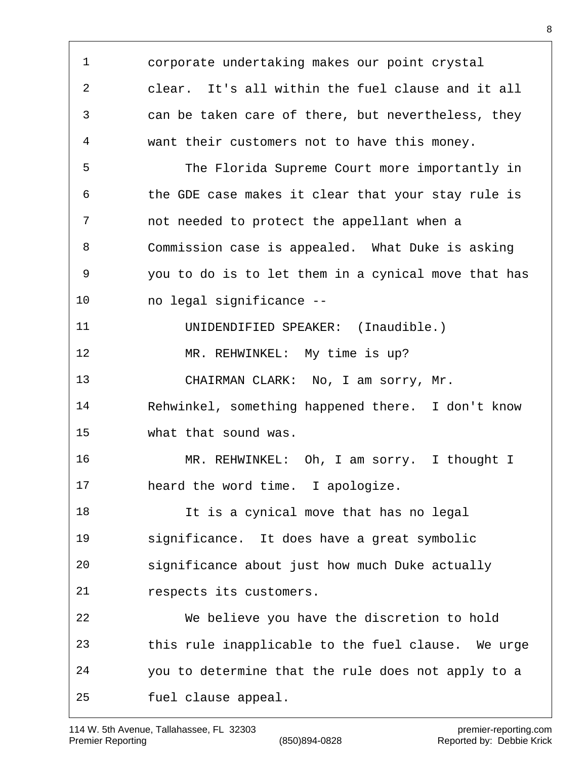corporate undertaking makes our point crystal clear. It's all within the fuel clause and it all can be taken care of there, but nevertheless, they want their customers not to have this money. The Florida Supreme Court more importantly in the GDE case makes it clear that your stay rule is not needed to protect the appellant when a Commission case is appealed. What Duke is asking you to do is to let them in a cynical move that has no legal significance -- UNIDENDIFIED SPEAKER: (Inaudible.) MR. REHWINKEL: My time is up? CHAIRMAN CLARK: No, I am sorry, Mr. Rehwinkel, something happened there. I don't know what that sound was. MR. REHWINKEL: Oh, I am sorry. I thought I heard the word time. I apologize. It is a cynical move that has no legal significance. It does have a great symbolic significance about just how much Duke actually respects its customers. We believe you have the discretion to hold this rule inapplicable to the fuel clause. We urge you to determine that the rule does not apply to a fuel clause appeal.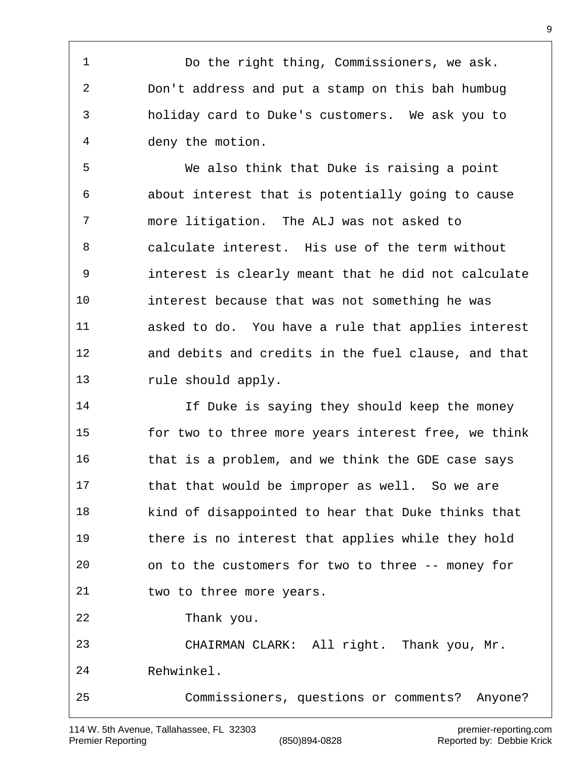Do the right thing, Commissioners, we ask. Don't address and put a stamp on this bah humbug holiday card to Duke's customers. We ask you to deny the motion.

 We also think that Duke is raising a point about interest that is potentially going to cause more litigation. The ALJ was not asked to calculate interest. His use of the term without interest is clearly meant that he did not calculate interest because that was not something he was asked to do. You have a rule that applies interest and debits and credits in the fuel clause, and that rule should apply.

 If Duke is saying they should keep the money for two to three more years interest free, we think that is a problem, and we think the GDE case says that that would be improper as well. So we are kind of disappointed to hear that Duke thinks that there is no interest that applies while they hold on to the customers for two to three -- money for two to three more years. Thank you. CHAIRMAN CLARK: All right. Thank you, Mr. Rehwinkel.

Commissioners, questions or comments? Anyone?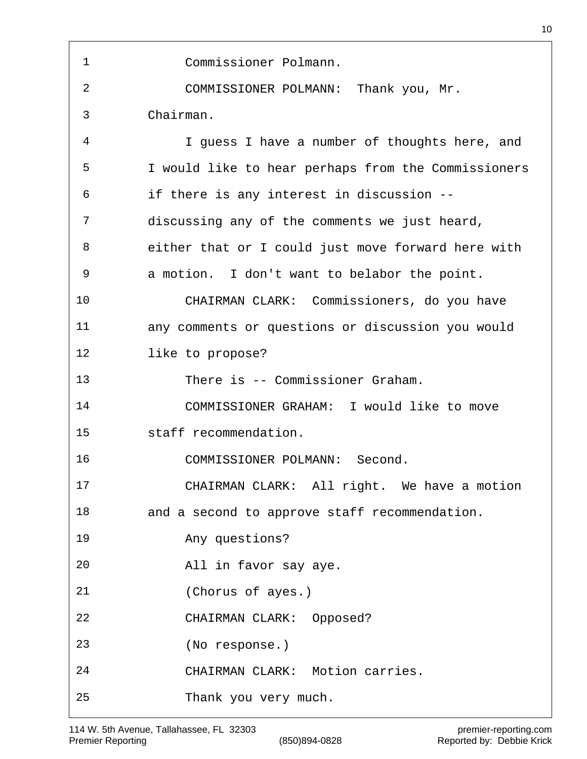Commissioner Polmann. COMMISSIONER POLMANN: Thank you, Mr. Chairman. I guess I have a number of thoughts here, and I would like to hear perhaps from the Commissioners if there is any interest in discussion -- discussing any of the comments we just heard, either that or I could just move forward here with a motion. I don't want to belabor the point. CHAIRMAN CLARK: Commissioners, do you have any comments or questions or discussion you would like to propose? There is -- Commissioner Graham. COMMISSIONER GRAHAM: I would like to move staff recommendation. COMMISSIONER POLMANN: Second. CHAIRMAN CLARK: All right. We have a motion and a second to approve staff recommendation. Any questions? All in favor say aye. (Chorus of ayes.) CHAIRMAN CLARK: Opposed? (No response.) CHAIRMAN CLARK: Motion carries. Thank you very much.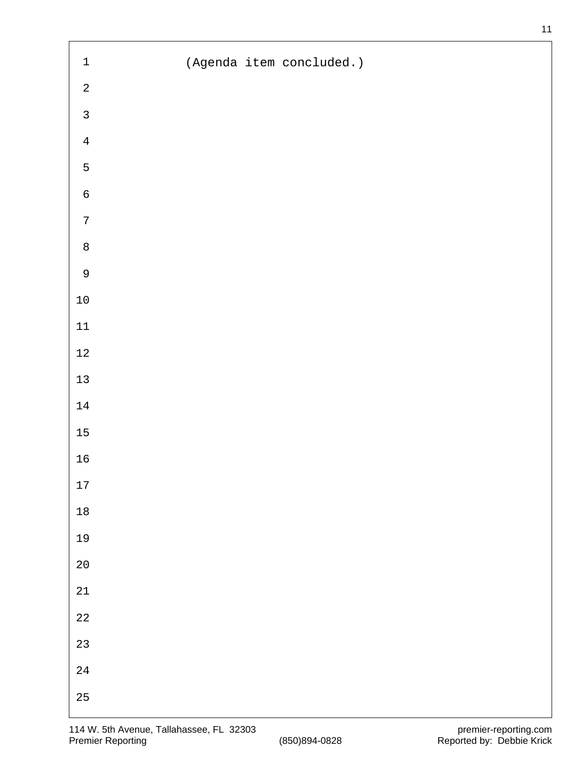| $\mathbf 1$      | (Agenda item concluded.) |
|------------------|--------------------------|
| $\sqrt{2}$       |                          |
| $\mathsf{3}$     |                          |
| $\overline{4}$   |                          |
| $\mathsf S$      |                          |
| $\mathsf 6$      |                          |
| $\boldsymbol{7}$ |                          |
| $\,8\,$          |                          |
| $\mathsf 9$      |                          |
| $1\,0$           |                          |
| $11\,$           |                          |
| $12\,$           |                          |
| $13\,$           |                          |
| $14\,$           |                          |
| $15\,$           |                          |
| $16$             |                          |
| $17\,$           |                          |
| $18\,$           |                          |
| 19               |                          |
| $20\,$           |                          |
| $21\,$           |                          |
| $2\sqrt{2}$      |                          |
| 23               |                          |
| $2\sqrt{4}$      |                          |
| $25\,$           |                          |

 $\overline{1}$